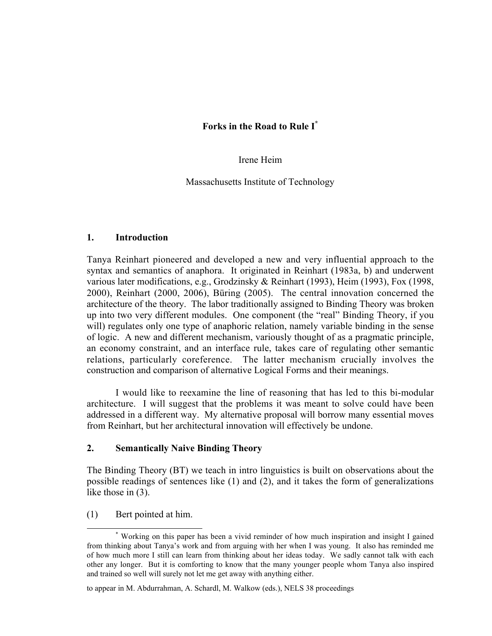#### Irene Heim

Massachusetts Institute of Technology

#### 1. Introduction

Tanya Reinhart pioneered and developed a new and very influential approach to the syntax and semantics of anaphora. It originated in Reinhart (1983a, b) and underwent various later modifications, e.g., Grodzinsky & Reinhart (1993), Heim (1993), Fox (1998, 2000), Reinhart (2000, 2006), Büring (2005). The central innovation concerned the architecture of the theory. The labor traditionally assigned to Binding Theory was broken up into two very different modules. One component (the "real" Binding Theory, if you will) regulates only one type of anaphoric relation, namely variable binding in the sense of logic. A new and different mechanism, variously thought of as a pragmatic principle, an economy constraint, and an interface rule, takes care of regulating other semantic relations, particularly coreference. The latter mechanism crucially involves the construction and comparison of alternative Logical Forms and their meanings.

I would like to reexamine the line of reasoning that has led to this bi-modular architecture. I will suggest that the problems it was meant to solve could have been addressed in a different way. My alternative proposal will borrow many essential moves from Reinhart, but her architectural innovation will effectively be undone.

### 2. Semantically Naive Binding Theory

The Binding Theory (BT) we teach in intro linguistics is built on observations about the possible readings of sentences like (1) and (2), and it takes the form of generalizations like those in (3).

(1) Bert pointed at him.

 <sup>\*</sup> Working on this paper has been a vivid reminder of how much inspiration and insight I gained from thinking about Tanya's work and from arguing with her when I was young. It also has reminded me of how much more I still can learn from thinking about her ideas today. We sadly cannot talk with each other any longer. But it is comforting to know that the many younger people whom Tanya also inspired and trained so well will surely not let me get away with anything either.

to appear in M. Abdurrahman, A. Schardl, M. Walkow (eds.), NELS 38 proceedings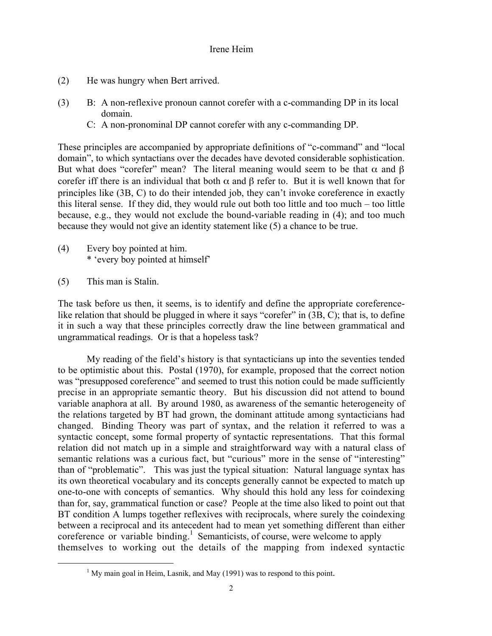- (2) He was hungry when Bert arrived.
- (3) B: A non-reflexive pronoun cannot corefer with a c-commanding DP in its local domain.
	- C: A non-pronominal DP cannot corefer with any c-commanding DP.

These principles are accompanied by appropriate definitions of "c-command" and "local domain", to which syntactians over the decades have devoted considerable sophistication. But what does "corefer" mean? The literal meaning would seem to be that  $\alpha$  and  $\beta$ corefer iff there is an individual that both  $\alpha$  and  $\beta$  refer to. But it is well known that for principles like (3B, C) to do their intended job, they can't invoke coreference in exactly this literal sense. If they did, they would rule out both too little and too much – too little because, e.g., they would not exclude the bound-variable reading in (4); and too much because they would not give an identity statement like (5) a chance to be true.

- (4) Every boy pointed at him. \* 'every boy pointed at himself'
- (5) This man is Stalin.

The task before us then, it seems, is to identify and define the appropriate coreferencelike relation that should be plugged in where it says "corefer" in (3B, C); that is, to define it in such a way that these principles correctly draw the line between grammatical and ungrammatical readings. Or is that a hopeless task?

My reading of the field's history is that syntacticians up into the seventies tended to be optimistic about this. Postal (1970), for example, proposed that the correct notion was "presupposed coreference" and seemed to trust this notion could be made sufficiently precise in an appropriate semantic theory. But his discussion did not attend to bound variable anaphora at all. By around 1980, as awareness of the semantic heterogeneity of the relations targeted by BT had grown, the dominant attitude among syntacticians had changed. Binding Theory was part of syntax, and the relation it referred to was a syntactic concept, some formal property of syntactic representations. That this formal relation did not match up in a simple and straightforward way with a natural class of semantic relations was a curious fact, but "curious" more in the sense of "interesting" than of "problematic". This was just the typical situation: Natural language syntax has its own theoretical vocabulary and its concepts generally cannot be expected to match up one-to-one with concepts of semantics. Why should this hold any less for coindexing than for, say, grammatical function or case? People at the time also liked to point out that BT condition A lumps together reflexives with reciprocals, where surely the coindexing between a reciprocal and its antecedent had to mean yet something different than either coreference or variable binding.<sup>1</sup> Semanticists, of course, were welcome to apply themselves to working out the details of the mapping from indexed syntactic

 $\frac{1}{1}$  $1$  My main goal in Heim, Lasnik, and May (1991) was to respond to this point.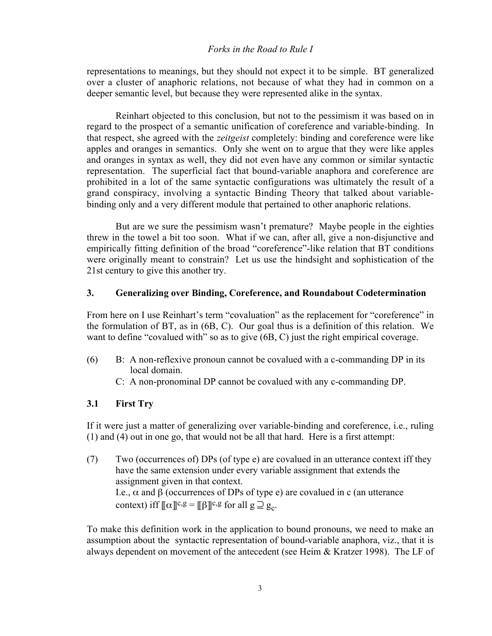representations to meanings, but they should not expect it to be simple. BT generalized over a cluster of anaphoric relations, not because of what they had in common on a deeper semantic level, but because they were represented alike in the syntax.

Reinhart objected to this conclusion, but not to the pessimism it was based on in regard to the prospect of a semantic unification of coreference and variable-binding. In that respect, she agreed with the *zeitgeist* completely: binding and coreference were like apples and oranges in semantics. Only she went on to argue that they were like apples and oranges in syntax as well, they did not even have any common or similar syntactic representation. The superficial fact that bound-variable anaphora and coreference are prohibited in a lot of the same syntactic configurations was ultimately the result of a grand conspiracy, involving a syntactic Binding Theory that talked about variablebinding only and a very different module that pertained to other anaphoric relations.

But are we sure the pessimism wasn't premature? Maybe people in the eighties threw in the towel a bit too soon. What if we can, after all, give a non-disjunctive and empirically fitting definition of the broad "coreference"-like relation that BT conditions were originally meant to constrain? Let us use the hindsight and sophistication of the 21st century to give this another try.

#### 3. Generalizing over Binding, Coreference, and Roundabout Codetermination

From here on I use Reinhart's term "covaluation" as the replacement for "coreference" in the formulation of BT, as in (6B, C). Our goal thus is a definition of this relation. We want to define "covalued with" so as to give (6B, C) just the right empirical coverage.

- (6) B: A non-reflexive pronoun cannot be covalued with a c-commanding DP in its local domain.
	- C: A non-pronominal DP cannot be covalued with any c-commanding DP.

### 3.1 First Try

If it were just a matter of generalizing over variable-binding and coreference, i.e., ruling (1) and (4) out in one go, that would not be all that hard. Here is a first attempt:

(7) Two (occurrences of) DPs (of type e) are covalued in an utterance context iff they have the same extension under every variable assignment that extends the assignment given in that context. I.e.,  $\alpha$  and β (occurrences of DPs of type e) are covalued in c (an utterance context) iff  $\lbrack \lbrack \lbrack \alpha \rbrack \rbrack^{c,g} = \lbrack \lbrack \lbrack \beta \rbrack \rbrack^{c,g}$  for all  $g \supseteq g_c$ .

To make this definition work in the application to bound pronouns, we need to make an assumption about the syntactic representation of bound-variable anaphora, viz., that it is always dependent on movement of the antecedent (see Heim & Kratzer 1998). The LF of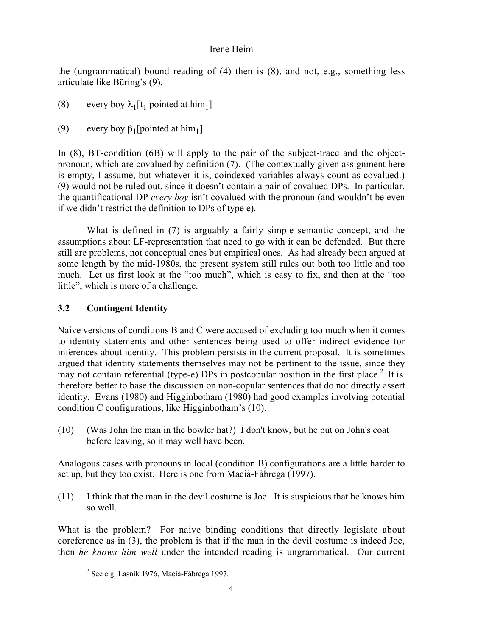the (ungrammatical) bound reading of (4) then is (8), and not, e.g., something less articulate like Büring's (9).

- (8) every boy  $\lambda_1[t_1]$  pointed at him<sub>1</sub>]
- (9) every boy  $\beta_1$ [pointed at him<sub>1</sub>]

In (8), BT-condition (6B) will apply to the pair of the subject-trace and the objectpronoun, which are covalued by definition (7). (The contextually given assignment here is empty, I assume, but whatever it is, coindexed variables always count as covalued.) (9) would not be ruled out, since it doesn't contain a pair of covalued DPs. In particular, the quantificational DP *every boy* isn't covalued with the pronoun (and wouldn't be even if we didn't restrict the definition to DPs of type e).

What is defined in (7) is arguably a fairly simple semantic concept, and the assumptions about LF-representation that need to go with it can be defended. But there still are problems, not conceptual ones but empirical ones. As had already been argued at some length by the mid-1980s, the present system still rules out both too little and too much. Let us first look at the "too much", which is easy to fix, and then at the "too little", which is more of a challenge.

# 3.2 Contingent Identity

Naive versions of conditions B and C were accused of excluding too much when it comes to identity statements and other sentences being used to offer indirect evidence for inferences about identity. This problem persists in the current proposal. It is sometimes argued that identity statements themselves may not be pertinent to the issue, since they may not contain referential (type-e) DPs in postcopular position in the first place.<sup>2</sup> It is therefore better to base the discussion on non-copular sentences that do not directly assert identity. Evans (1980) and Higginbotham (1980) had good examples involving potential condition C configurations, like Higginbotham's (10).

(10) (Was John the man in the bowler hat?) I don't know, but he put on John's coat before leaving, so it may well have been.

Analogous cases with pronouns in local (condition B) configurations are a little harder to set up, but they too exist. Here is one from Macià-Fàbrega (1997).

(11) I think that the man in the devil costume is Joe. It is suspicious that he knows him so well.

What is the problem? For naive binding conditions that directly legislate about coreference as in (3), the problem is that if the man in the devil costume is indeed Joe, then *he knows him well* under the intended reading is ungrammatical. Our current

 $\overline{\phantom{a}}$  $2$  See e.g. Lasnik 1976, Macià-Fàbrega 1997.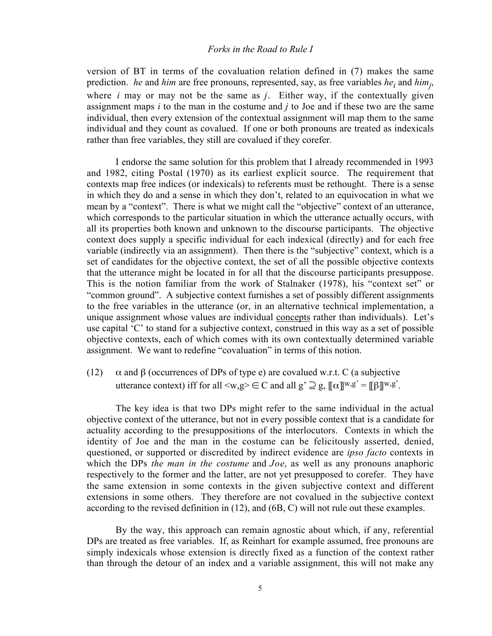version of BT in terms of the covaluation relation defined in (7) makes the same prediction. *he* and *him* are free pronouns, represented, say, as free variables *he<sub>i</sub>* and *him<sub>j</sub>*, where *i* may or may not be the same as *j*. Either way, if the contextually given assignment maps *i* to the man in the costume and *j* to Joe and if these two are the same individual, then every extension of the contextual assignment will map them to the same individual and they count as covalued. If one or both pronouns are treated as indexicals rather than free variables, they still are covalued if they corefer.

I endorse the same solution for this problem that I already recommended in 1993 and 1982, citing Postal (1970) as its earliest explicit source. The requirement that contexts map free indices (or indexicals) to referents must be rethought. There is a sense in which they do and a sense in which they don't, related to an equivocation in what we mean by a "context". There is what we might call the "objective" context of an utterance, which corresponds to the particular situation in which the utterance actually occurs, with all its properties both known and unknown to the discourse participants. The objective context does supply a specific individual for each indexical (directly) and for each free variable (indirectly via an assignment). Then there is the "subjective" context, which is a set of candidates for the objective context, the set of all the possible objective contexts that the utterance might be located in for all that the discourse participants presuppose. This is the notion familiar from the work of Stalnaker (1978), his "context set" or "common ground". A subjective context furnishes a set of possibly different assignments to the free variables in the utterance (or, in an alternative technical implementation, a unique assignment whose values are individual concepts rather than individuals). Let's use capital 'C' to stand for a subjective context, construed in this way as a set of possible objective contexts, each of which comes with its own contextually determined variable assignment. We want to redefine "covaluation" in terms of this notion.

(12)  $\alpha$  and  $\beta$  (occurrences of DPs of type e) are covalued w.r.t. C (a subjective utterance context) iff for all  $\langle w, g \rangle \in C$  and all  $g' \supseteq g$ ,  $[\![\alpha]\!]^{w,g'} = [\![\beta]\!]^{w,g'}$ .

The key idea is that two DPs might refer to the same individual in the actual objective context of the utterance, but not in every possible context that is a candidate for actuality according to the presuppositions of the interlocutors. Contexts in which the identity of Joe and the man in the costume can be felicitously asserted, denied, questioned, or supported or discredited by indirect evidence are *ipso facto* contexts in which the DPs *the man in the costume* and *Joe*, as well as any pronouns anaphoric respectively to the former and the latter, are not yet presupposed to corefer. They have the same extension in some contexts in the given subjective context and different extensions in some others. They therefore are not covalued in the subjective context according to the revised definition in (12), and (6B, C) will not rule out these examples.

By the way, this approach can remain agnostic about which, if any, referential DPs are treated as free variables. If, as Reinhart for example assumed, free pronouns are simply indexicals whose extension is directly fixed as a function of the context rather than through the detour of an index and a variable assignment, this will not make any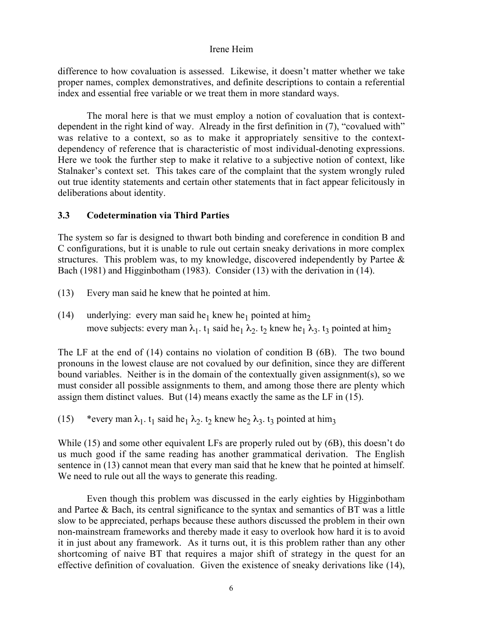difference to how covaluation is assessed. Likewise, it doesn't matter whether we take proper names, complex demonstratives, and definite descriptions to contain a referential index and essential free variable or we treat them in more standard ways.

The moral here is that we must employ a notion of covaluation that is contextdependent in the right kind of way. Already in the first definition in (7), "covalued with" was relative to a context, so as to make it appropriately sensitive to the contextdependency of reference that is characteristic of most individual-denoting expressions. Here we took the further step to make it relative to a subjective notion of context, like Stalnaker's context set. This takes care of the complaint that the system wrongly ruled out true identity statements and certain other statements that in fact appear felicitously in deliberations about identity.

#### 3.3 Codetermination via Third Parties

The system so far is designed to thwart both binding and coreference in condition B and C configurations, but it is unable to rule out certain sneaky derivations in more complex structures. This problem was, to my knowledge, discovered independently by Partee & Bach (1981) and Higginbotham (1983). Consider (13) with the derivation in (14).

- (13) Every man said he knew that he pointed at him.
- (14) underlying: every man said he<sub>1</sub> knew he<sub>1</sub> pointed at him<sub>2</sub> move subjects: every man  $\lambda_1$ . t<sub>1</sub> said he<sub>1</sub>  $\lambda_2$ . t<sub>2</sub> knew he<sub>1</sub>  $\lambda_3$ . t<sub>3</sub> pointed at him<sub>2</sub>

The LF at the end of (14) contains no violation of condition B (6B). The two bound pronouns in the lowest clause are not covalued by our definition, since they are different bound variables. Neither is in the domain of the contextually given assignment(s), so we must consider all possible assignments to them, and among those there are plenty which assign them distinct values. But (14) means exactly the same as the LF in (15).

(15) \*every man  $\lambda_1$ . t<sub>1</sub> said he<sub>1</sub>  $\lambda_2$ . t<sub>2</sub> knew he<sub>2</sub>  $\lambda_3$ . t<sub>3</sub> pointed at him<sub>3</sub>

While (15) and some other equivalent LFs are properly ruled out by (6B), this doesn't do us much good if the same reading has another grammatical derivation. The English sentence in (13) cannot mean that every man said that he knew that he pointed at himself. We need to rule out all the ways to generate this reading.

Even though this problem was discussed in the early eighties by Higginbotham and Partee & Bach, its central significance to the syntax and semantics of BT was a little slow to be appreciated, perhaps because these authors discussed the problem in their own non-mainstream frameworks and thereby made it easy to overlook how hard it is to avoid it in just about any framework. As it turns out, it is this problem rather than any other shortcoming of naive BT that requires a major shift of strategy in the quest for an effective definition of covaluation. Given the existence of sneaky derivations like (14),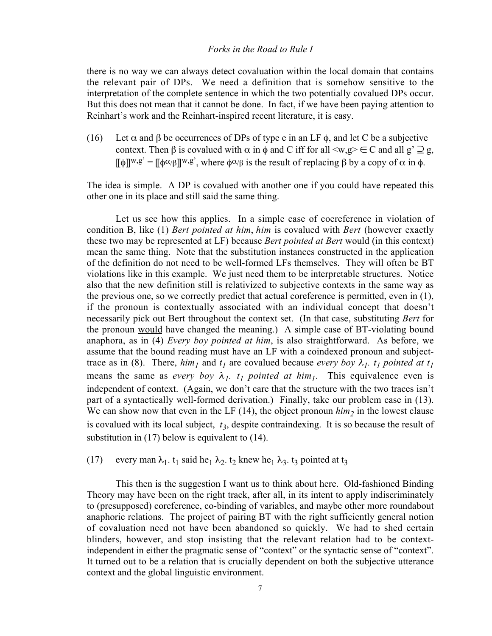there is no way we can always detect covaluation within the local domain that contains the relevant pair of DPs. We need a definition that is somehow sensitive to the interpretation of the complete sentence in which the two potentially covalued DPs occur. But this does not mean that it cannot be done. In fact, if we have been paying attention to Reinhart's work and the Reinhart-inspired recent literature, it is easy.

(16) Let  $\alpha$  and  $\beta$  be occurrences of DPs of type e in an LF  $\phi$ , and let C be a subjective context. Then  $\beta$  is covalued with  $\alpha$  in  $\phi$  and C iff for all  $\langle w,g \rangle \in C$  and all  $g' \supseteq g$ ,  $[\![\phi]\!]^{w,g'} = [\![\phi\alpha/\beta]\!]^{w,g'}$ , where  $\phi\alpha/\beta$  is the result of replacing  $\beta$  by a copy of  $\alpha$  in  $\phi$ .

The idea is simple. A DP is covalued with another one if you could have repeated this other one in its place and still said the same thing.

Let us see how this applies. In a simple case of coereference in violation of condition B, like (1) *Bert pointed at him*, *him* is covalued with *Bert* (however exactly these two may be represented at LF) because *Bert pointed at Bert* would (in this context) mean the same thing. Note that the substitution instances constructed in the application of the definition do not need to be well-formed LFs themselves. They will often be BT violations like in this example. We just need them to be interpretable structures. Notice also that the new definition still is relativized to subjective contexts in the same way as the previous one, so we correctly predict that actual coreference is permitted, even in (1), if the pronoun is contextually associated with an individual concept that doesn't necessarily pick out Bert throughout the context set. (In that case, substituting *Bert* for the pronoun would have changed the meaning.) A simple case of BT-violating bound anaphora, as in (4) *Every boy pointed at him*, is also straightforward. As before, we assume that the bound reading must have an LF with a coindexed pronoun and subjecttrace as in (8). There,  $\lim_{l}$  and  $t_l$  are covalued because *every boy*  $\lambda_l$ .  $t_l$  *pointed at t<sub>l</sub>* means the same as *every boy*  $\lambda_1$ .  $t_1$  *pointed at him<sub>1</sub>*. This equivalence even is independent of context. (Again, we don't care that the structure with the two traces isn't part of a syntactically well-formed derivation.) Finally, take our problem case in (13). We can show now that even in the LF (14), the object pronoun  $him_2$  in the lowest clause is covalued with its local subject,  $t_3$ , despite contraindexing. It is so because the result of substitution in (17) below is equivalent to (14).

# (17) every man  $\lambda_1$ . t<sub>1</sub> said he<sub>1</sub>  $\lambda_2$ . t<sub>2</sub> knew he<sub>1</sub>  $\lambda_3$ . t<sub>3</sub> pointed at t<sub>3</sub>

This then is the suggestion I want us to think about here. Old-fashioned Binding Theory may have been on the right track, after all, in its intent to apply indiscriminately to (presupposed) coreference, co-binding of variables, and maybe other more roundabout anaphoric relations. The project of pairing BT with the right sufficiently general notion of covaluation need not have been abandoned so quickly. We had to shed certain blinders, however, and stop insisting that the relevant relation had to be contextindependent in either the pragmatic sense of "context" or the syntactic sense of "context". It turned out to be a relation that is crucially dependent on both the subjective utterance context and the global linguistic environment.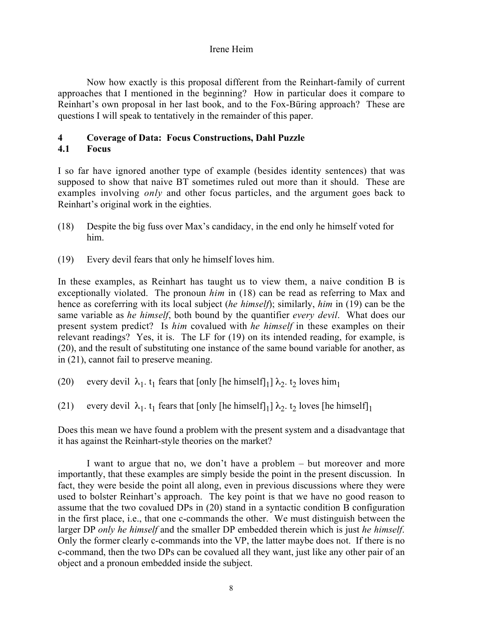Now how exactly is this proposal different from the Reinhart-family of current approaches that I mentioned in the beginning? How in particular does it compare to Reinhart's own proposal in her last book, and to the Fox-Büring approach? These are questions I will speak to tentatively in the remainder of this paper.

### 4 Coverage of Data: Focus Constructions, Dahl Puzzle

## 4.1 Focus

I so far have ignored another type of example (besides identity sentences) that was supposed to show that naive BT sometimes ruled out more than it should. These are examples involving *only* and other focus particles, and the argument goes back to Reinhart's original work in the eighties.

- (18) Despite the big fuss over Max's candidacy, in the end only he himself voted for him.
- (19) Every devil fears that only he himself loves him.

In these examples, as Reinhart has taught us to view them, a naive condition B is exceptionally violated. The pronoun *him* in (18) can be read as referring to Max and hence as coreferring with its local subject (*he himself*); similarly, *him* in (19) can be the same variable as *he himself*, both bound by the quantifier *every devil*. What does our present system predict? Is *him* covalued with *he himself* in these examples on their relevant readings? Yes, it is. The LF for (19) on its intended reading, for example, is (20), and the result of substituting one instance of the same bound variable for another, as in (21), cannot fail to preserve meaning.

- (20) every devil  $\lambda_1$ . t<sub>1</sub> fears that [only [he himself]<sub>1</sub>]  $\lambda_2$ . t<sub>2</sub> loves him<sub>1</sub>
- (21) every devil  $\lambda_1$ ,  $t_1$  fears that [only [he himself]<sub>1</sub>]  $\lambda_2$ ,  $t_2$  loves [he himself]<sub>1</sub>

Does this mean we have found a problem with the present system and a disadvantage that it has against the Reinhart-style theories on the market?

I want to argue that no, we don't have a problem – but moreover and more importantly, that these examples are simply beside the point in the present discussion. In fact, they were beside the point all along, even in previous discussions where they were used to bolster Reinhart's approach. The key point is that we have no good reason to assume that the two covalued DPs in (20) stand in a syntactic condition B configuration in the first place, i.e., that one c-commands the other. We must distinguish between the larger DP *only he himself* and the smaller DP embedded therein which is just *he himself*. Only the former clearly c-commands into the VP, the latter maybe does not. If there is no c-command, then the two DPs can be covalued all they want, just like any other pair of an object and a pronoun embedded inside the subject.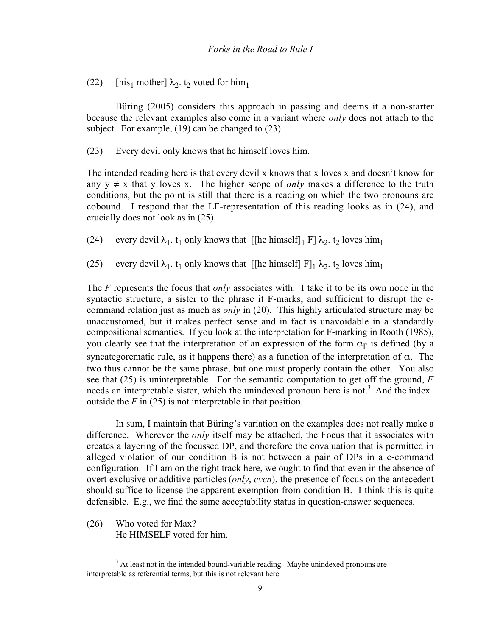(22) [his<sub>1</sub> mother]  $\lambda_2$ . t<sub>2</sub> voted for him<sub>1</sub>

Büring (2005) considers this approach in passing and deems it a non-starter because the relevant examples also come in a variant where *only* does not attach to the subject. For example, (19) can be changed to (23).

(23) Every devil only knows that he himself loves him.

The intended reading here is that every devil x knows that x loves x and doesn't know for any  $y \neq x$  that y loves x. The higher scope of *only* makes a difference to the truth conditions, but the point is still that there is a reading on which the two pronouns are cobound. I respond that the LF-representation of this reading looks as in (24), and crucially does not look as in (25).

(24) every devil  $\lambda_1$ . t<sub>1</sub> only knows that [[he himself]<sub>1</sub> F]  $\lambda_2$ . t<sub>2</sub> loves him<sub>1</sub>

(25) every devil  $\lambda_1$ ,  $t_1$  only knows that [[he himself]  $F|_1 \lambda_2$ ,  $t_2$  loves him<sub>1</sub>

The *F* represents the focus that *only* associates with. I take it to be its own node in the syntactic structure, a sister to the phrase it F-marks, and sufficient to disrupt the ccommand relation just as much as *only* in (20). This highly articulated structure may be unaccustomed, but it makes perfect sense and in fact is unavoidable in a standardly compositional semantics. If you look at the interpretation for F-marking in Rooth (1985), you clearly see that the interpretation of an expression of the form  $\alpha_F$  is defined (by a syncategorematic rule, as it happens there) as a function of the interpretation of  $\alpha$ . The two thus cannot be the same phrase, but one must properly contain the other. You also see that (25) is uninterpretable. For the semantic computation to get off the ground, *F* needs an interpretable sister, which the unindexed pronoun here is not.<sup>3</sup> And the index outside the  $F$  in (25) is not interpretable in that position.

In sum, I maintain that Büring's variation on the examples does not really make a difference. Wherever the *only* itself may be attached, the Focus that it associates with creates a layering of the focussed DP, and therefore the covaluation that is permitted in alleged violation of our condition B is not between a pair of DPs in a c-command configuration. If I am on the right track here, we ought to find that even in the absence of overt exclusive or additive particles (*only*, *even*), the presence of focus on the antecedent should suffice to license the apparent exemption from condition B. I think this is quite defensible. E.g., we find the same acceptability status in question-answer sequences.

(26) Who voted for Max? He HIMSELF voted for him.

 $\frac{1}{3}$  $3$  At least not in the intended bound-variable reading. Maybe unindexed pronouns are interpretable as referential terms, but this is not relevant here.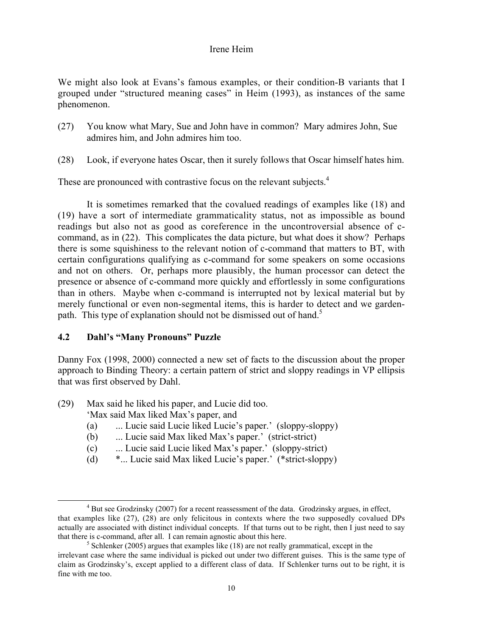We might also look at Evans's famous examples, or their condition-B variants that I grouped under "structured meaning cases" in Heim (1993), as instances of the same phenomenon.

- (27) You know what Mary, Sue and John have in common? Mary admires John, Sue admires him, and John admires him too.
- (28) Look, if everyone hates Oscar, then it surely follows that Oscar himself hates him.

These are pronounced with contrastive focus on the relevant subjects.<sup>4</sup>

It is sometimes remarked that the covalued readings of examples like (18) and (19) have a sort of intermediate grammaticality status, not as impossible as bound readings but also not as good as coreference in the uncontroversial absence of ccommand, as in (22). This complicates the data picture, but what does it show? Perhaps there is some squishiness to the relevant notion of c-command that matters to BT, with certain configurations qualifying as c-command for some speakers on some occasions and not on others. Or, perhaps more plausibly, the human processor can detect the presence or absence of c-command more quickly and effortlessly in some configurations than in others. Maybe when c-command is interrupted not by lexical material but by merely functional or even non-segmental items, this is harder to detect and we gardenpath. This type of explanation should not be dismissed out of hand.<sup>5</sup>

# 4.2 Dahl's "Many Pronouns" Puzzle

Danny Fox (1998, 2000) connected a new set of facts to the discussion about the proper approach to Binding Theory: a certain pattern of strict and sloppy readings in VP ellipsis that was first observed by Dahl.

(29) Max said he liked his paper, and Lucie did too.

'Max said Max liked Max's paper, and

- (a) ... Lucie said Lucie liked Lucie's paper.' (sloppy-sloppy)
- (b) ... Lucie said Max liked Max's paper.' (strict-strict)
- (c) ... Lucie said Lucie liked Max's paper.' (sloppy-strict)
- (d) \*... Lucie said Max liked Lucie's paper.' (\*strict-sloppy)

 $\overline{a}$  $4$  But see Grodzinsky (2007) for a recent reassessment of the data. Grodzinsky argues, in effect, that examples like (27), (28) are only felicitous in contexts where the two supposedly covalued DPs actually are associated with distinct individual concepts. If that turns out to be right, then I just need to say that there is c-command, after all. I can remain agnostic about this here. <sup>5</sup>

 $\frac{1}{2}$  Schlenker (2005) argues that examples like (18) are not really grammatical, except in the irrelevant case where the same individual is picked out under two different guises. This is the same type of claim as Grodzinsky's, except applied to a different class of data. If Schlenker turns out to be right, it is fine with me too.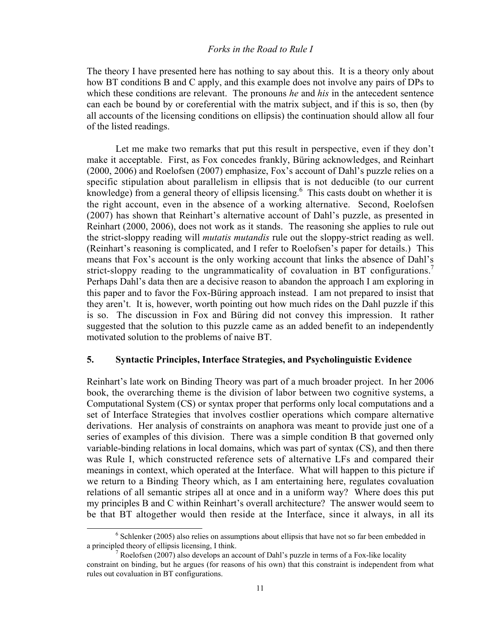The theory I have presented here has nothing to say about this. It is a theory only about how BT conditions B and C apply, and this example does not involve any pairs of DPs to which these conditions are relevant. The pronouns *he* and *his* in the antecedent sentence can each be bound by or coreferential with the matrix subject, and if this is so, then (by all accounts of the licensing conditions on ellipsis) the continuation should allow all four of the listed readings.

Let me make two remarks that put this result in perspective, even if they don't make it acceptable. First, as Fox concedes frankly, Büring acknowledges, and Reinhart (2000, 2006) and Roelofsen (2007) emphasize, Fox's account of Dahl's puzzle relies on a specific stipulation about parallelism in ellipsis that is not deducible (to our current knowledge) from a general theory of ellipsis licensing.<sup>6</sup> This casts doubt on whether it is the right account, even in the absence of a working alternative. Second, Roelofsen (2007) has shown that Reinhart's alternative account of Dahl's puzzle, as presented in Reinhart (2000, 2006), does not work as it stands. The reasoning she applies to rule out the strict-sloppy reading will *mutatis mutandis* rule out the sloppy-strict reading as well. (Reinhart's reasoning is complicated, and I refer to Roelofsen's paper for details.) This means that Fox's account is the only working account that links the absence of Dahl's strict-sloppy reading to the ungrammaticality of covaluation in BT configurations.<sup>7</sup> Perhaps Dahl's data then are a decisive reason to abandon the approach I am exploring in this paper and to favor the Fox-Büring approach instead. I am not prepared to insist that they aren't. It is, however, worth pointing out how much rides on the Dahl puzzle if this is so. The discussion in Fox and Büring did not convey this impression. It rather suggested that the solution to this puzzle came as an added benefit to an independently motivated solution to the problems of naive BT.

#### 5. Syntactic Principles, Interface Strategies, and Psycholinguistic Evidence

Reinhart's late work on Binding Theory was part of a much broader project. In her 2006 book, the overarching theme is the division of labor between two cognitive systems, a Computational System (CS) or syntax proper that performs only local computations and a set of Interface Strategies that involves costlier operations which compare alternative derivations. Her analysis of constraints on anaphora was meant to provide just one of a series of examples of this division. There was a simple condition B that governed only variable-binding relations in local domains, which was part of syntax (CS), and then there was Rule I, which constructed reference sets of alternative LFs and compared their meanings in context, which operated at the Interface. What will happen to this picture if we return to a Binding Theory which, as I am entertaining here, regulates covaluation relations of all semantic stripes all at once and in a uniform way? Where does this put my principles B and C within Reinhart's overall architecture? The answer would seem to be that BT altogether would then reside at the Interface, since it always, in all its

 <sup>6</sup>  $6$  Schlenker (2005) also relies on assumptions about ellipsis that have not so far been embedded in a principled theory of ellipsis licensing, I think. <sup>7</sup>

<sup>&</sup>lt;sup>7</sup> Roelofsen (2007) also develops an account of Dahl's puzzle in terms of a Fox-like locality constraint on binding, but he argues (for reasons of his own) that this constraint is independent from what rules out covaluation in BT configurations.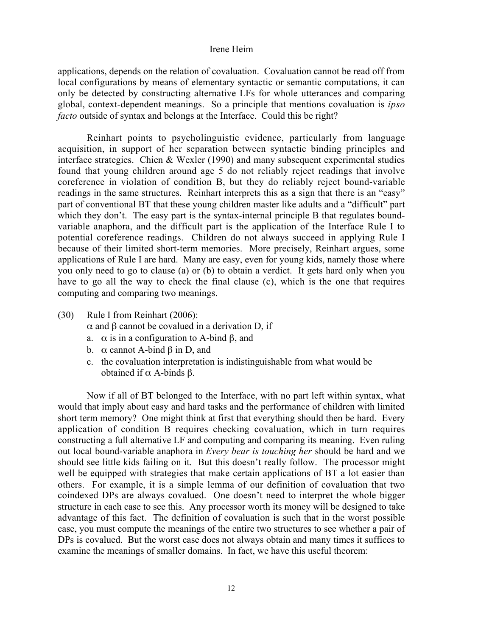applications, depends on the relation of covaluation. Covaluation cannot be read off from local configurations by means of elementary syntactic or semantic computations, it can only be detected by constructing alternative LFs for whole utterances and comparing global, context-dependent meanings. So a principle that mentions covaluation is *ipso facto* outside of syntax and belongs at the Interface. Could this be right?

Reinhart points to psycholinguistic evidence, particularly from language acquisition, in support of her separation between syntactic binding principles and interface strategies. Chien & Wexler (1990) and many subsequent experimental studies found that young children around age 5 do not reliably reject readings that involve coreference in violation of condition B, but they do reliably reject bound-variable readings in the same structures. Reinhart interprets this as a sign that there is an "easy" part of conventional BT that these young children master like adults and a "difficult" part which they don't. The easy part is the syntax-internal principle B that regulates boundvariable anaphora, and the difficult part is the application of the Interface Rule I to potential coreference readings. Children do not always succeed in applying Rule I because of their limited short-term memories. More precisely, Reinhart argues, some applications of Rule I are hard. Many are easy, even for young kids, namely those where you only need to go to clause (a) or (b) to obtain a verdict. It gets hard only when you have to go all the way to check the final clause (c), which is the one that requires computing and comparing two meanings.

- (30) Rule I from Reinhart (2006):
	- α and β cannot be covalued in a derivation D, if
	- a. α is in a configuration to A-bind β, and
	- b.  $\alpha$  cannot A-bind  $\beta$  in D, and
	- c. the covaluation interpretation is indistinguishable from what would be obtained if  $α$  A-binds  $β$ .

Now if all of BT belonged to the Interface, with no part left within syntax, what would that imply about easy and hard tasks and the performance of children with limited short term memory? One might think at first that everything should then be hard. Every application of condition B requires checking covaluation, which in turn requires constructing a full alternative LF and computing and comparing its meaning. Even ruling out local bound-variable anaphora in *Every bear is touching her* should be hard and we should see little kids failing on it. But this doesn't really follow. The processor might well be equipped with strategies that make certain applications of BT a lot easier than others. For example, it is a simple lemma of our definition of covaluation that two coindexed DPs are always covalued. One doesn't need to interpret the whole bigger structure in each case to see this. Any processor worth its money will be designed to take advantage of this fact. The definition of covaluation is such that in the worst possible case, you must compute the meanings of the entire two structures to see whether a pair of DPs is covalued. But the worst case does not always obtain and many times it suffices to examine the meanings of smaller domains. In fact, we have this useful theorem: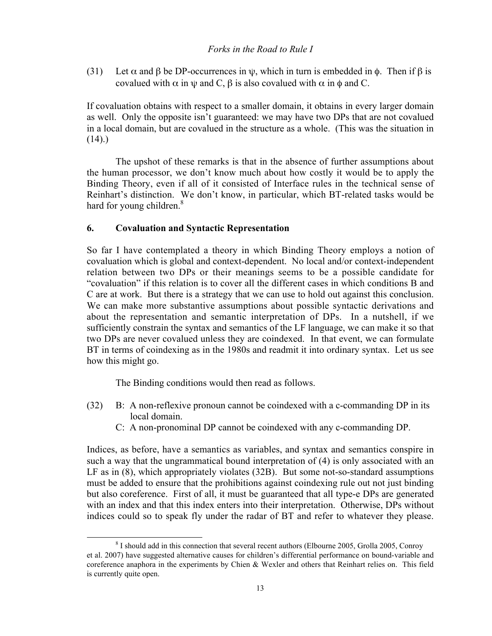(31) Let  $\alpha$  and  $\beta$  be DP-occurrences in  $\psi$ , which in turn is embedded in  $\phi$ . Then if  $\beta$  is covalued with  $\alpha$  in  $\psi$  and C,  $\beta$  is also covalued with  $\alpha$  in  $\phi$  and C.

If covaluation obtains with respect to a smaller domain, it obtains in every larger domain as well. Only the opposite isn't guaranteed: we may have two DPs that are not covalued in a local domain, but are covalued in the structure as a whole. (This was the situation in  $(14)$ .

The upshot of these remarks is that in the absence of further assumptions about the human processor, we don't know much about how costly it would be to apply the Binding Theory, even if all of it consisted of Interface rules in the technical sense of Reinhart's distinction. We don't know, in particular, which BT-related tasks would be hard for young children.<sup>8</sup>

### 6. Covaluation and Syntactic Representation

So far I have contemplated a theory in which Binding Theory employs a notion of covaluation which is global and context-dependent. No local and/or context-independent relation between two DPs or their meanings seems to be a possible candidate for "covaluation" if this relation is to cover all the different cases in which conditions B and C are at work. But there is a strategy that we can use to hold out against this conclusion. We can make more substantive assumptions about possible syntactic derivations and about the representation and semantic interpretation of DPs. In a nutshell, if we sufficiently constrain the syntax and semantics of the LF language, we can make it so that two DPs are never covalued unless they are coindexed. In that event, we can formulate BT in terms of coindexing as in the 1980s and readmit it into ordinary syntax. Let us see how this might go.

The Binding conditions would then read as follows.

- (32) B: A non-reflexive pronoun cannot be coindexed with a c-commanding DP in its local domain.
	- C: A non-pronominal DP cannot be coindexed with any c-commanding DP.

Indices, as before, have a semantics as variables, and syntax and semantics conspire in such a way that the ungrammatical bound interpretation of (4) is only associated with an LF as in (8), which appropriately violates (32B). But some not-so-standard assumptions must be added to ensure that the prohibitions against coindexing rule out not just binding but also coreference. First of all, it must be guaranteed that all type-e DPs are generated with an index and that this index enters into their interpretation. Otherwise, DPs without indices could so to speak fly under the radar of BT and refer to whatever they please.

 <sup>8</sup> <sup>8</sup> I should add in this connection that several recent authors (Elbourne 2005, Grolla 2005, Conroy et al. 2007) have suggested alternative causes for children's differential performance on bound-variable and coreference anaphora in the experiments by Chien & Wexler and others that Reinhart relies on. This field is currently quite open.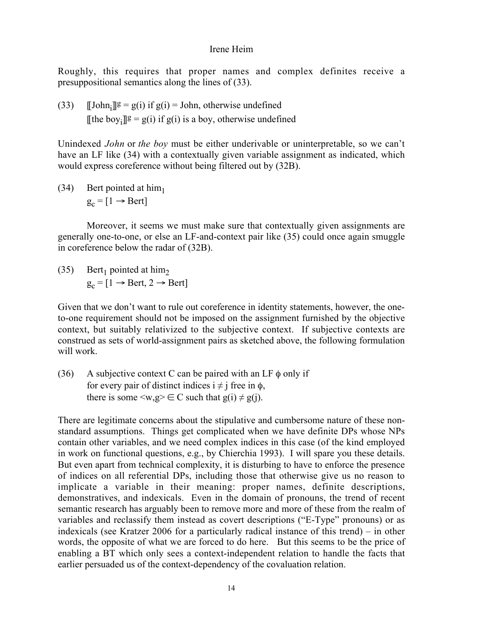Roughly, this requires that proper names and complex definites receive a presuppositional semantics along the lines of (33).

(33)  $[\text{John}_i]$ <sup>g</sup> = g(i) if g(i) = John, otherwise undefined [[the boy<sub>i</sub>][ $g = g(i)$  if  $g(i)$  is a boy, otherwise undefined

Unindexed *John* or *the boy* must be either underivable or uninterpretable, so we can't have an LF like (34) with a contextually given variable assignment as indicated, which would express coreference without being filtered out by (32B).

 $(34)$  Bert pointed at him<sub>1</sub>  $g_c = [1 \rightarrow Bert]$ 

Moreover, it seems we must make sure that contextually given assignments are generally one-to-one, or else an LF-and-context pair like (35) could once again smuggle in coreference below the radar of (32B).

(35) Bert<sub>1</sub> pointed at him<sub>2</sub>  $g_c = [1 \rightarrow$  Bert,  $2 \rightarrow$  Bert]

Given that we don't want to rule out coreference in identity statements, however, the oneto-one requirement should not be imposed on the assignment furnished by the objective context, but suitably relativized to the subjective context. If subjective contexts are construed as sets of world-assignment pairs as sketched above, the following formulation will work.

(36) A subjective context C can be paired with an LF  $\phi$  only if for every pair of distinct indices  $i \neq j$  free in  $\phi$ , there is some  $\langle w, g \rangle \in C$  such that  $g(i) \neq g(j)$ .

There are legitimate concerns about the stipulative and cumbersome nature of these nonstandard assumptions. Things get complicated when we have definite DPs whose NPs contain other variables, and we need complex indices in this case (of the kind employed in work on functional questions, e.g., by Chierchia 1993). I will spare you these details. But even apart from technical complexity, it is disturbing to have to enforce the presence of indices on all referential DPs, including those that otherwise give us no reason to implicate a variable in their meaning: proper names, definite descriptions, demonstratives, and indexicals. Even in the domain of pronouns, the trend of recent semantic research has arguably been to remove more and more of these from the realm of variables and reclassify them instead as covert descriptions ("E-Type" pronouns) or as indexicals (see Kratzer 2006 for a particularly radical instance of this trend) – in other words, the opposite of what we are forced to do here. But this seems to be the price of enabling a BT which only sees a context-independent relation to handle the facts that earlier persuaded us of the context-dependency of the covaluation relation.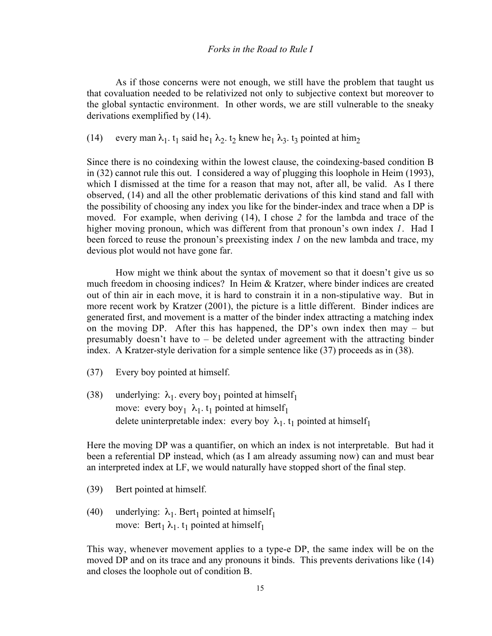As if those concerns were not enough, we still have the problem that taught us that covaluation needed to be relativized not only to subjective context but moreover to the global syntactic environment. In other words, we are still vulnerable to the sneaky derivations exemplified by (14).

(14) every man  $\lambda_1$ . t<sub>1</sub> said he<sub>1</sub>  $\lambda_2$ . t<sub>2</sub> knew he<sub>1</sub>  $\lambda_3$ . t<sub>3</sub> pointed at him<sub>2</sub>

Since there is no coindexing within the lowest clause, the coindexing-based condition B in (32) cannot rule this out. I considered a way of plugging this loophole in Heim (1993), which I dismissed at the time for a reason that may not, after all, be valid. As I there observed, (14) and all the other problematic derivations of this kind stand and fall with the possibility of choosing any index you like for the binder-index and trace when a DP is moved. For example, when deriving (14), I chose *2* for the lambda and trace of the higher moving pronoun, which was different from that pronoun's own index *1*. Had I been forced to reuse the pronoun's preexisting index *1* on the new lambda and trace, my devious plot would not have gone far.

How might we think about the syntax of movement so that it doesn't give us so much freedom in choosing indices? In Heim & Kratzer, where binder indices are created out of thin air in each move, it is hard to constrain it in a non-stipulative way. But in more recent work by Kratzer (2001), the picture is a little different. Binder indices are generated first, and movement is a matter of the binder index attracting a matching index on the moving DP. After this has happened, the DP's own index then may – but presumably doesn't have to – be deleted under agreement with the attracting binder index. A Kratzer-style derivation for a simple sentence like (37) proceeds as in (38).

- (37) Every boy pointed at himself.
- (38) underlying:  $\lambda_1$  every boy<sub>1</sub> pointed at himself<sub>1</sub> move: every boy<sub>1</sub>  $\lambda_1$ , t<sub>1</sub> pointed at himself<sub>1</sub> delete uninterpretable index: every boy  $\lambda_1$ . t<sub>1</sub> pointed at himself<sub>1</sub>

Here the moving DP was a quantifier, on which an index is not interpretable. But had it been a referential DP instead, which (as I am already assuming now) can and must bear an interpreted index at LF, we would naturally have stopped short of the final step.

- (39) Bert pointed at himself.
- (40) underlying:  $\lambda_1$ . Bert<sub>1</sub> pointed at himself<sub>1</sub> move: Bert<sub>1</sub>  $\lambda_1$ . t<sub>1</sub> pointed at himself<sub>1</sub>

This way, whenever movement applies to a type-e DP, the same index will be on the moved DP and on its trace and any pronouns it binds. This prevents derivations like (14) and closes the loophole out of condition B.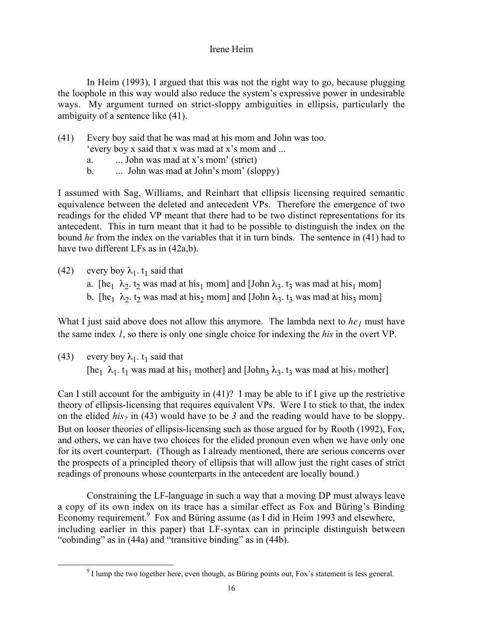In Heim (1993), I argued that this was not the right way to go, because plugging the loophole in this way would also reduce the system's expressive power in undesirable ways. My argument turned on strict-sloppy ambiguities in ellipsis, particularly the ambiguity of a sentence like (41).

(41) Every boy said that he was mad at his mom and John was too.

'every boy x said that x was mad at x's mom and ...

- a.  $\ldots$  John was mad at x's mom' (strict)
- b. ... John was mad at John's mom' (sloppy)

I assumed with Sag, Williams, and Reinhart that ellipsis licensing required semantic equivalence between the deleted and antecedent VPs. Therefore the emergence of two readings for the elided VP meant that there had to be two distinct representations for its antecedent. This in turn meant that it had to be possible to distinguish the index on the bound *he* from the index on the variables that it in turn binds. The sentence in (41) had to have two different LFs as in  $(42a,b)$ .

- (42) every boy  $\lambda_1$ . t<sub>1</sub> said that
	- a. [he<sub>1</sub>  $\lambda_2$  t<sub>2</sub> was mad at his<sub>1</sub> mom] and [John  $\lambda_3$  t<sub>3</sub> was mad at his<sub>1</sub> mom]
	- b. [he<sub>1</sub>  $\lambda_2$ , t<sub>2</sub> was mad at his<sub>2</sub> mom] and [John  $\lambda_3$ , t<sub>3</sub> was mad at his<sub>3</sub> mom]

What I just said above does not allow this anymore. The lambda next to  $he_1$  must have the same index *1*, so there is only one single choice for indexing the *his* in the overt VP.

(43) every boy  $\lambda_1$ ,  $t_1$  said that [he<sub>1</sub>  $\lambda_1$ . t<sub>1</sub> was mad at his<sub>1</sub> mother] and [John<sub>3</sub>  $\lambda_3$ . t<sub>3</sub> was mad at his<sub>2</sub> mother]

Can I still account for the ambiguity in (41)? I may be able to if I give up the restrictive theory of ellipsis-licensing that requires equivalent VPs. Were I to stick to that, the index on the elided *his?* in (43) would have to be *3* and the reading would have to be sloppy. But on looser theories of ellipsis-licensing such as those argued for by Rooth (1992), Fox, and others, we can have two choices for the elided pronoun even when we have only one for its overt counterpart. (Though as I already mentioned, there are serious concerns over the prospects of a principled theory of ellipsis that will allow just the right cases of strict readings of pronouns whose counterparts in the antecedent are locally bound.)

Constraining the LF-language in such a way that a moving DP must always leave a copy of its own index on its trace has a similar effect as Fox and Büring's Binding Economy requirement.<sup>9</sup> Fox and Büring assume (as I did in Heim 1993 and elsewhere, including earlier in this paper) that LF-syntax can in principle distinguish between "cobinding" as in (44a) and "transitive binding" as in (44b).

 <sup>9</sup>  $\degree$  I lump the two together here, even though, as Büring points out, Fox's statement is less general.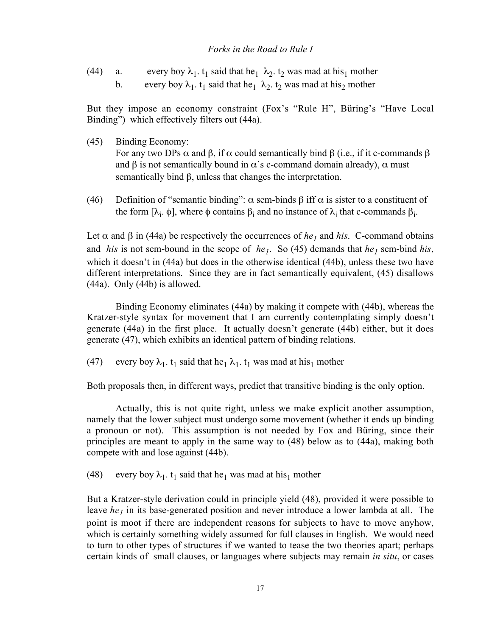(44) a. every boy  $\lambda_1$ . t<sub>1</sub> said that he<sub>1</sub>  $\lambda_2$ . t<sub>2</sub> was mad at his<sub>1</sub> mother b. every boy  $\lambda_1$ , t<sub>1</sub> said that he<sub>1</sub>  $\lambda_2$ , t<sub>2</sub> was mad at his<sub>2</sub> mother

But they impose an economy constraint (Fox's "Rule H", Büring's "Have Local Binding") which effectively filters out (44a).

- (45) Binding Economy: For any two DPs  $\alpha$  and  $\beta$ , if  $\alpha$  could semantically bind  $\beta$  (i.e., if it c-commands  $\beta$ and  $\beta$  is not semantically bound in  $\alpha$ 's c-command domain already),  $\alpha$  must semantically bind β, unless that changes the interpretation.
- (46) Definition of "semantic binding":  $\alpha$  sem-binds  $\beta$  iff  $\alpha$  is sister to a constituent of the form  $[\lambda_i, \phi]$ , where  $\phi$  contains  $\beta_i$  and no instance of  $\lambda_i$  that c-commands  $\beta_i$ .

Let  $\alpha$  and  $\beta$  in (44a) be respectively the occurrences of *he<sub>1</sub>* and *his*. C-command obtains and *his* is not sem-bound in the scope of *he<sub>1</sub>*. So (45) demands that *he<sub>1</sub>* sem-bind *his*, which it doesn't in (44a) but does in the otherwise identical (44b), unless these two have different interpretations. Since they are in fact semantically equivalent, (45) disallows (44a). Only (44b) is allowed.

Binding Economy eliminates (44a) by making it compete with (44b), whereas the Kratzer-style syntax for movement that I am currently contemplating simply doesn't generate (44a) in the first place. It actually doesn't generate (44b) either, but it does generate (47), which exhibits an identical pattern of binding relations.

(47) every boy  $\lambda_1$ . t<sub>1</sub> said that he<sub>1</sub>  $\lambda_1$ . t<sub>1</sub> was mad at his<sub>1</sub> mother

Both proposals then, in different ways, predict that transitive binding is the only option.

Actually, this is not quite right, unless we make explicit another assumption, namely that the lower subject must undergo some movement (whether it ends up binding a pronoun or not). This assumption is not needed by Fox and Büring, since their principles are meant to apply in the same way to (48) below as to (44a), making both compete with and lose against (44b).

(48) every boy  $\lambda_1$ , t<sub>1</sub> said that he<sub>1</sub> was mad at his<sub>1</sub> mother

But a Kratzer-style derivation could in principle yield (48), provided it were possible to leave *he<sub>1</sub>* in its base-generated position and never introduce a lower lambda at all. The point is moot if there are independent reasons for subjects to have to move anyhow, which is certainly something widely assumed for full clauses in English. We would need to turn to other types of structures if we wanted to tease the two theories apart; perhaps certain kinds of small clauses, or languages where subjects may remain *in situ*, or cases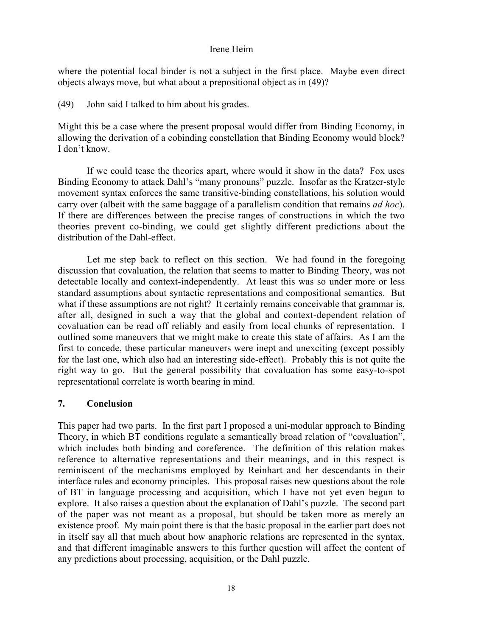where the potential local binder is not a subject in the first place. Maybe even direct objects always move, but what about a prepositional object as in (49)?

(49) John said I talked to him about his grades.

Might this be a case where the present proposal would differ from Binding Economy, in allowing the derivation of a cobinding constellation that Binding Economy would block? I don't know.

If we could tease the theories apart, where would it show in the data? Fox uses Binding Economy to attack Dahl's "many pronouns" puzzle. Insofar as the Kratzer-style movement syntax enforces the same transitive-binding constellations, his solution would carry over (albeit with the same baggage of a parallelism condition that remains *ad hoc*). If there are differences between the precise ranges of constructions in which the two theories prevent co-binding, we could get slightly different predictions about the distribution of the Dahl-effect.

Let me step back to reflect on this section. We had found in the foregoing discussion that covaluation, the relation that seems to matter to Binding Theory, was not detectable locally and context-independently. At least this was so under more or less standard assumptions about syntactic representations and compositional semantics. But what if these assumptions are not right? It certainly remains conceivable that grammar is, after all, designed in such a way that the global and context-dependent relation of covaluation can be read off reliably and easily from local chunks of representation. I outlined some maneuvers that we might make to create this state of affairs. As I am the first to concede, these particular maneuvers were inept and unexciting (except possibly for the last one, which also had an interesting side-effect). Probably this is not quite the right way to go. But the general possibility that covaluation has some easy-to-spot representational correlate is worth bearing in mind.

### 7. Conclusion

This paper had two parts. In the first part I proposed a uni-modular approach to Binding Theory, in which BT conditions regulate a semantically broad relation of "covaluation", which includes both binding and coreference. The definition of this relation makes reference to alternative representations and their meanings, and in this respect is reminiscent of the mechanisms employed by Reinhart and her descendants in their interface rules and economy principles. This proposal raises new questions about the role of BT in language processing and acquisition, which I have not yet even begun to explore. It also raises a question about the explanation of Dahl's puzzle. The second part of the paper was not meant as a proposal, but should be taken more as merely an existence proof. My main point there is that the basic proposal in the earlier part does not in itself say all that much about how anaphoric relations are represented in the syntax, and that different imaginable answers to this further question will affect the content of any predictions about processing, acquisition, or the Dahl puzzle.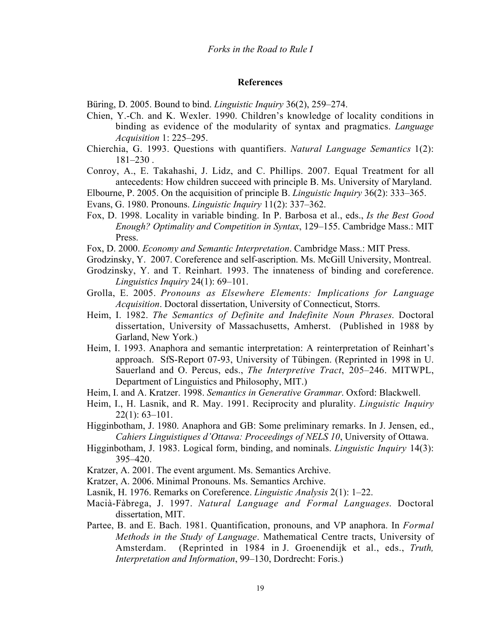#### References

Büring, D. 2005. Bound to bind. *Linguistic Inquiry* 36(2), 259–274.

- Chien, Y.-Ch. and K. Wexler. 1990. Children's knowledge of locality conditions in binding as evidence of the modularity of syntax and pragmatics. *Language Acquisition* 1: 225–295.
- Chierchia, G. 1993. Questions with quantifiers. *Natural Language Semantics* 1(2):  $181 - 230$ .
- Conroy, A., E. Takahashi, J. Lidz, and C. Phillips. 2007. Equal Treatment for all antecedents: How children succeed with principle B. Ms. University of Maryland.
- Elbourne, P. 2005. On the acquisition of principle B. *Linguistic Inquiry* 36(2): 333–365.
- Evans, G. 1980. Pronouns. *Linguistic Inquiry* 11(2): 337–362.
- Fox, D. 1998. Locality in variable binding. In P. Barbosa et al., eds., *Is the Best Good Enough? Optimality and Competition in Syntax*, 129–155. Cambridge Mass.: MIT Press.
- Fox, D. 2000. *Economy and Semantic Interpretation*. Cambridge Mass.: MIT Press.
- Grodzinsky, Y. 2007. Coreference and self-ascription. Ms. McGill University, Montreal.
- Grodzinsky, Y. and T. Reinhart. 1993. The innateness of binding and coreference. *Linguistics Inquiry* 24(1): 69–101.
- Grolla, E. 2005. *Pronouns as Elsewhere Elements: Implications for Language Acquisition*. Doctoral dissertation, University of Connecticut, Storrs.
- Heim, I. 1982. *The Semantics of Definite and Indefinite Noun Phrases*. Doctoral dissertation, University of Massachusetts, Amherst. (Published in 1988 by Garland, New York.)
- Heim, I. 1993. Anaphora and semantic interpretation: A reinterpretation of Reinhart's approach. SfS-Report 07-93, University of Tübingen. (Reprinted in 1998 in U. Sauerland and O. Percus, eds., *The Interpretive Tract*, 205–246. MITWPL, Department of Linguistics and Philosophy, MIT.)
- Heim, I. and A. Kratzer. 1998. *Semantics in Generative Grammar*. Oxford: Blackwell.
- Heim, I., H. Lasnik, and R. May. 1991. Reciprocity and plurality. *Linguistic Inquiry* 22(1): 63–101.
- Higginbotham, J. 1980. Anaphora and GB: Some preliminary remarks. In J. Jensen, ed., *Cahiers Linguistiques d'Ottawa: Proceedings of NELS 10*, University of Ottawa.
- Higginbotham, J. 1983. Logical form, binding, and nominals. *Linguistic Inquiry* 14(3): 395–420.
- Kratzer, A. 2001. The event argument. Ms. Semantics Archive.
- Kratzer, A. 2006. Minimal Pronouns. Ms. Semantics Archive.
- Lasnik, H. 1976. Remarks on Coreference. *Linguistic Analysis* 2(1): 1–22.
- Macià-Fàbrega, J. 1997. *Natural Language and Formal Languages*. Doctoral dissertation, MIT.
- Partee, B. and E. Bach. 1981. Quantification, pronouns, and VP anaphora. In *Formal Methods in the Study of Language*. Mathematical Centre tracts, University of Amsterdam. (Reprinted in 1984 in J. Groenendijk et al., eds., *Truth, Interpretation and Information*, 99–130, Dordrecht: Foris.)